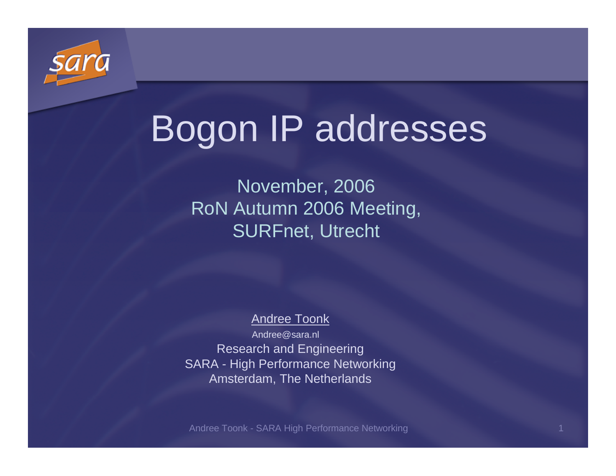

# Bogon IP addresses

November, 2006 RoN Autumn 2006 Meeting, SURFnet, Utrecht

#### Andree Toonk

Research and Engineering SARA - High Performance Networking Amsterdam, The NetherlandsAndree@sara.nl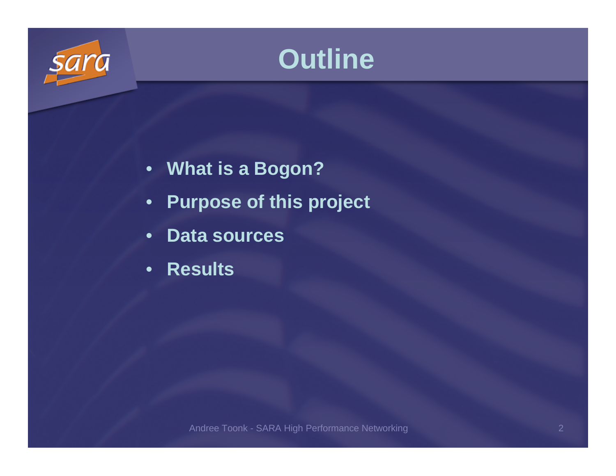



- **What is a Bogon?**
- •**Purpose of this project**
- •**Data sources**
- •**Results**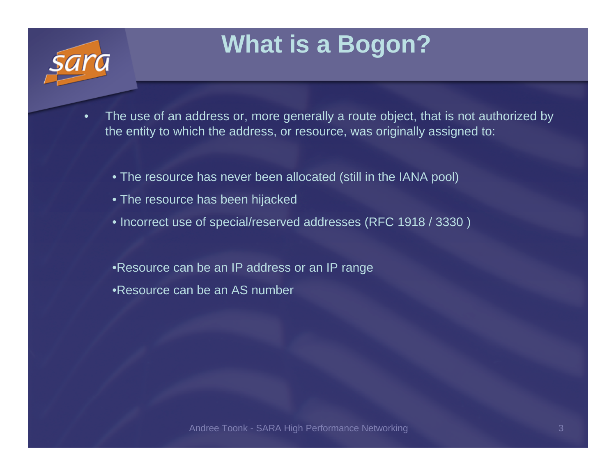### **What is a Bogon?**

- • The use of an address or, more generally a route object, that is not authorized by the entity to which the address, or resource, was originally assigned to:
	- The resource has never been allocated (still in the IANA pool)
	- The resource has been hijacked
	- Incorrect use of special/reserved addresses (RFC 1918 / 3330 )
	- •Resource can be an IP address or an IP range•Resource can be an AS number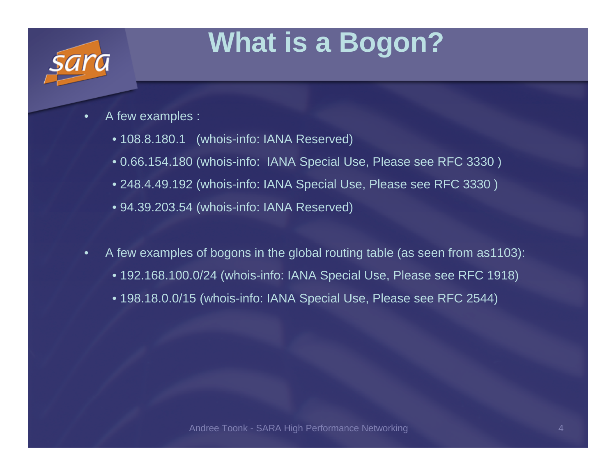## **What is a Bogon?**

- $\bullet$  A few examples :
	- 108.8.180.1 (whois-info: IANA Reserved)
	- 0.66.154.180 (whois-info: IANA Special Use, Please see RFC 3330 )
	- 248.4.49.192 (whois-info: IANA Special Use, Please see RFC 3330 )
	- 94.39.203.54 (whois-info: IANA Reserved)
- • A few examples of bogons in the global routing table (as seen from as1103):
	- 192.168.100.0/24 (whois-info: IANA Special Use, Please see RFC 1918)
	- 198.18.0.0/15 (whois-info: IANA Special Use, Please see RFC 2544)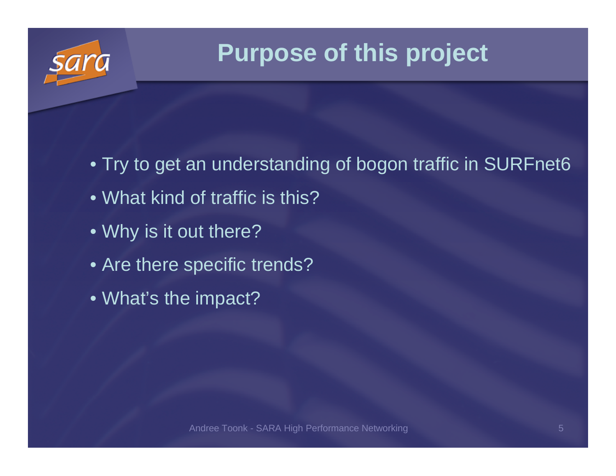

### **Purpose of this project**

- Try to get an understanding of bogon traffic in SURFnet6
- What kind of traffic is this?
- Why is it out there?
- Are there specific trends?
- What's the impact?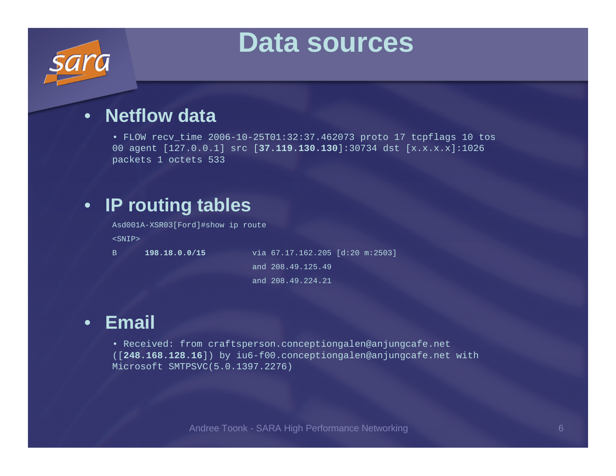### **Data sources**

### • **Netflow data**

 • FLOW recv\_time 2006-10-25T01:32:37.462073 proto 17 tcpflags 10 tos 00 agent [127.0.0.1] src [**37.119.130.130**]:30734 dst [x.x.x.x]:1026 packets 1 octets 533

### • **IP routing tables**

Asd001A-XSR03[Ford]#show ip route

<SNIP>

B **198.18.0.0/15**

 via 67.17.162.205 [d:20 m:2503] and 208.49.125.49and 208.49.224.21

### • **Email**

• Received: from craftsperson.conceptiongalen@anjungcafe.net ([**248.168.128.16**]) by iu6-f00.conceptiongalen@anjungcafe.net with Microsoft SMTPSVC(5.0.1397.2276)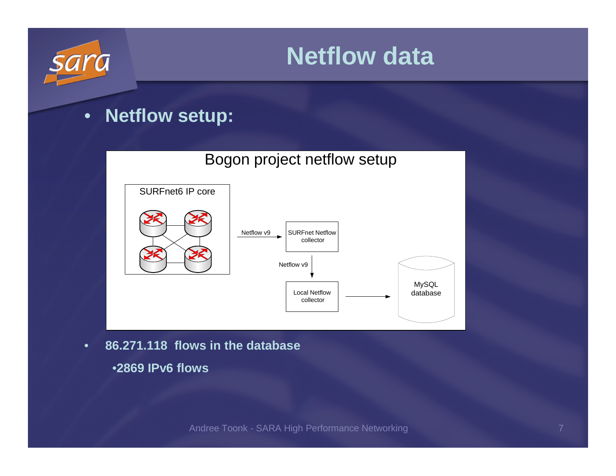

- • **86.271.118 flows in the database**
	- •**2869 IPv6 flows**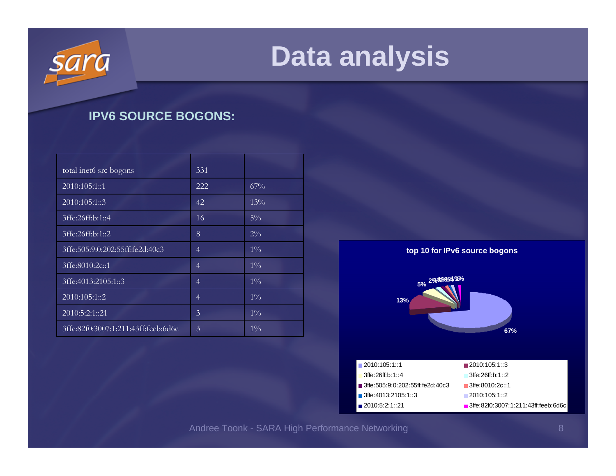

### **IPV6 SOURCE BOGONS:**

| total inet6 src bogons              | 331            |        |
|-------------------------------------|----------------|--------|
| 2010:105:1::1                       | 222            | 67%    |
| 2010:105:1::3                       | 42             | $13\%$ |
| 3ffe:26ff:b:1::4                    | 16             | $5\%$  |
| 3ffe:26ff:b:1::2                    | 8              | $2\%$  |
| 3ffe:505:9:0:202:55ff:fe2d:40c3     | $\overline{4}$ | $1\%$  |
| 3ffe:8010:2c::1                     | 4              | $1\%$  |
| 3ffe:4013:2105:1::3                 | 4              | $1\%$  |
| 2010:105:1::2                       | 4              | $1\%$  |
| 2010:5:2:1::21                      | 3              | $1\%$  |
| 3ffe:82f0:3007:1:211:43ff:feeb:6d6c | 3              | $1\%$  |

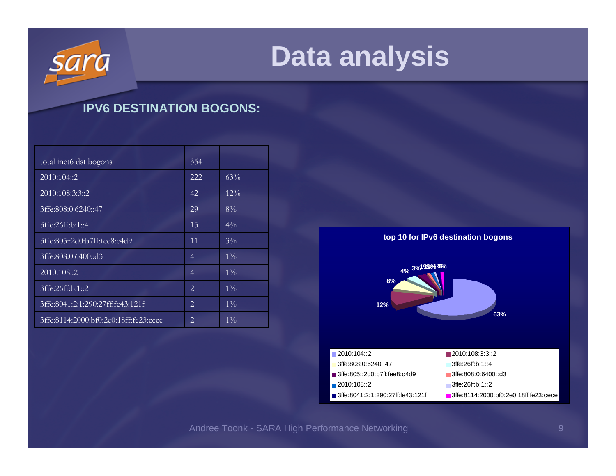

### **IPV6 DESTINATION BOGONS:**

| total inet6 dst bogons                | 354            |        |
|---------------------------------------|----------------|--------|
| 2010:104::2                           | 222            | 63%    |
| 2010:108:3:3:2                        | 42             | $12\%$ |
| 3ffe:808:0:6240::47                   | 29             | $8\%$  |
| 3ffe:26ff:b:1::4                      | 15             | $4\%$  |
| 3ffe:805::2d0:b7ff:fee8:c4d9          | 11             | $3\%$  |
| 3ffe:808:0:6400::d3                   | 4              | $1\%$  |
| 2010:108::2                           | $\overline{4}$ | $1\%$  |
| 3ffe:26ff:b:1::2                      | 2              | $1\%$  |
| 3ffe:8041:2:1:290:27ff:fe43:121f      | 2              | $1\%$  |
| 3ffe:8114:2000:bf0:2e0:18ff:fe23:cece | 2              | $1\%$  |

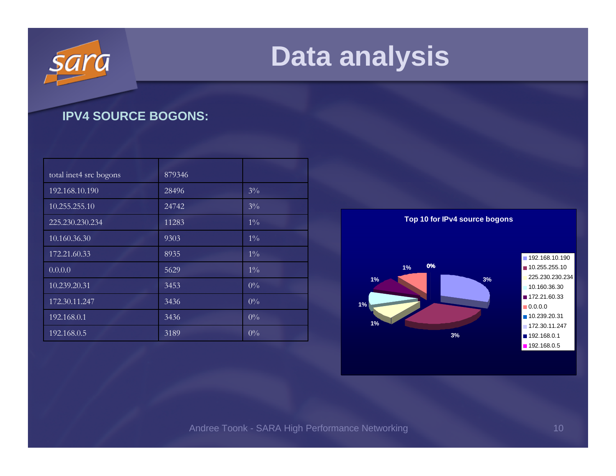### **IPV4 SOURCE BOGONS:**

| total inet4 src bogons | 879346 |       |
|------------------------|--------|-------|
| 192.168.10.190         | 28496  | $3\%$ |
| 10.255.255.10          | 24742  | $3\%$ |
| 225.230.230.234        | 11283  | $1\%$ |
| 10.160.36.30           | 9303   | $1\%$ |
| 172.21.60.33           | 8935   | $1\%$ |
| 0.0.0.0                | 5629   | $1\%$ |
| 10.239.20.31           | 3453   | $0\%$ |
| 172.30.11.247          | 3436   | $0\%$ |
| 192.168.0.1            | 3436   | $0\%$ |
| 192.168.0.5            | 3189   | $0\%$ |

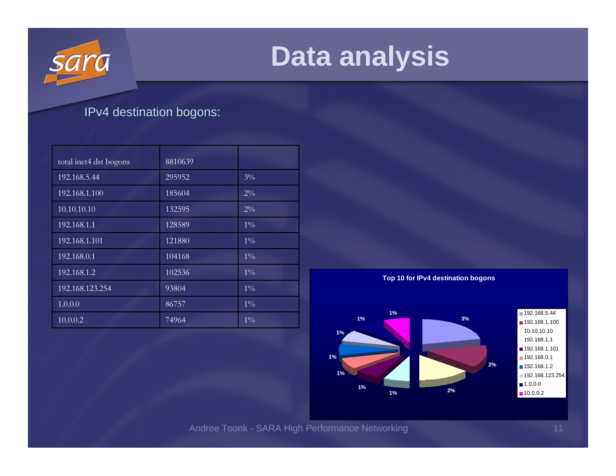

### IPv4 destination bogons:

| total inet4 dst bogons | 8810639 |       |
|------------------------|---------|-------|
| 192.168.5.44           | 295952  | $3\%$ |
| 192.168.1.100          | 185604  | $2\%$ |
| 10.10.10.10            | 132595  | $2\%$ |
| 192.168.1.1            | 128589  | $1\%$ |
| 192.168.1.101          | 121880  | $1\%$ |
| 192.168.0.1            | 104168  | $1\%$ |
| 192.168.1.2            | 102536  | $1\%$ |
| 192.168.123.254        | 93804   | $1\%$ |
| 1.0.0.0                | 86757   | $1\%$ |
| 10.0.0.2               | 74964   | $1\%$ |



Andree Toonk - SARA High Performance Networking 11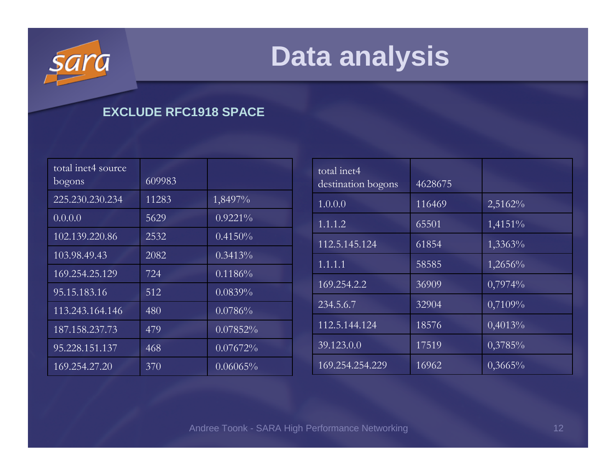

### **EXCLUDE RFC1918 SPACE**

| total inet4 source<br>bogons | 609983 |             |
|------------------------------|--------|-------------|
| 225.230.230.234              | 11283  | 1,8497%     |
| 0.0.0.0                      | 5629   | $0.9221\%$  |
| 102.139.220.86               | 2532   | $0.4150\%$  |
| 103.98.49.43                 | 2082   | $0.3413\%$  |
| 169.254.25.129               | 724    | 0.1186%     |
| 95.15.183.16                 | 512    | 0.0839%     |
| 113.243.164.146              | 480    | 0.0786%     |
| 187.158.237.73               | 479    | $0.07852\%$ |
| 95.228.151.137               | 468    | 0.07672%    |
| 169.254.27.20                | 370    | $0.06065\%$ |

| total inet4<br>destination bogons | 4628675 |            |
|-----------------------------------|---------|------------|
| 1.0.0.0                           | 116469  | $2,5162\%$ |
| 1.1.1.2                           | 65501   | 1,4151%    |
| 112.5.145.124                     | 61854   | 1,3363%    |
| 1.1.1.1                           | 58585   | $1,2656\%$ |
| 169.254.2.2                       | 36909   | 0,7974%    |
| 234.5.6.7                         | 32904   | 0,7109%    |
| 112.5.144.124                     | 18576   | 0,4013%    |
| 39.123.0.0                        | 17519   | 0,3785%    |
| 169.254.254.229                   | 16962   | $0,3665\%$ |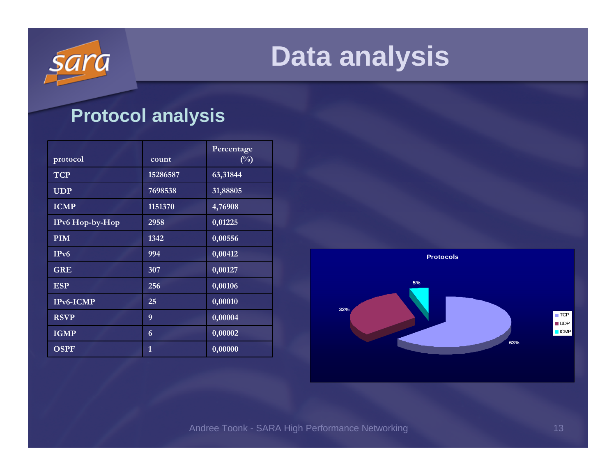

### **Protocol analysis**

| protocol        | count    | Percentage<br>$(\%)$ |
|-----------------|----------|----------------------|
| <b>TCP</b>      | 15286587 | 63,31844             |
| <b>UDP</b>      | 7698538  | 31,88805             |
| <b>ICMP</b>     | 1151370  | 4,76908              |
| IPv6 Hop-by-Hop | 2958     | 0,01225              |
| <b>PIM</b>      | 1342     | 0,00556              |
| IPv6            | 994      | 0,00412              |
| <b>GRE</b>      | 307      | 0,00127              |
| <b>ESP</b>      | 256      | 0,00106              |
| IPv6-ICMP       | 25       | 0,00010              |
| <b>RSVP</b>     | 9        | 0,00004              |
| <b>IGMP</b>     | 6        | 0,00002              |
| <b>OSPF</b>     | 1        | 0,00000              |

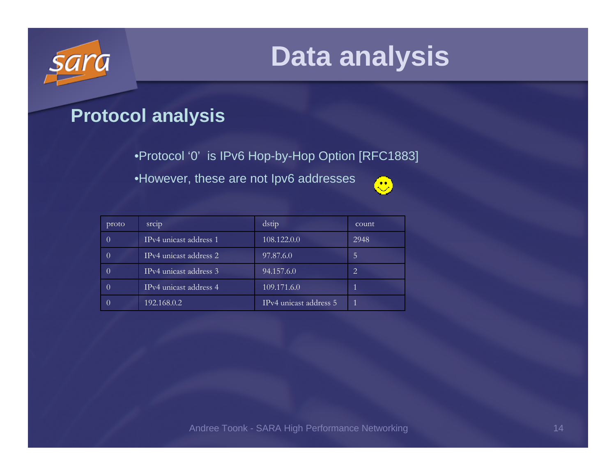

### **Protocol analysis**

•Protocol '0' is IPv6 Hop-by-Hop Option [RFC1883]

•However, these are not Ipv6 addresses



| proto | srcip                               | dstip                               | count |
|-------|-------------------------------------|-------------------------------------|-------|
|       | IPv4 unicast address 1              | 108.122.0.0                         | 2948  |
|       | IP <sub>v</sub> 4 unicast address 2 | 97.87.6.0                           | 5     |
|       | IPv4 unicast address 3              | 94.157.6.0                          | 2     |
|       | IPv4 unicast address 4              | 109.171.6.0                         |       |
|       | 192.168.0.2                         | IP <sub>v</sub> 4 unicast address 5 |       |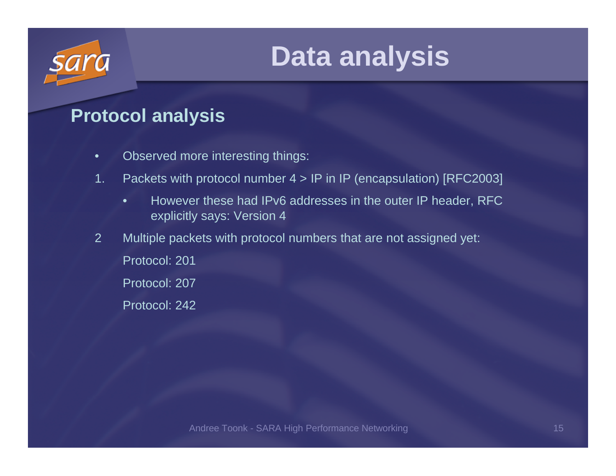

### **Protocol analysis**

- $\bullet$ Observed more interesting things:
- 1. Packets with protocol number 4 > IP in IP (encapsulation) [RFC2003]
	- • However these had IPv6 addresses in the outer IP header, RFC explicitly says: Version 4
- 2 Multiple packets with protocol numbers that are not assigned yet:
	- Protocol: 201
	- Protocol: 207
	- Protocol: 242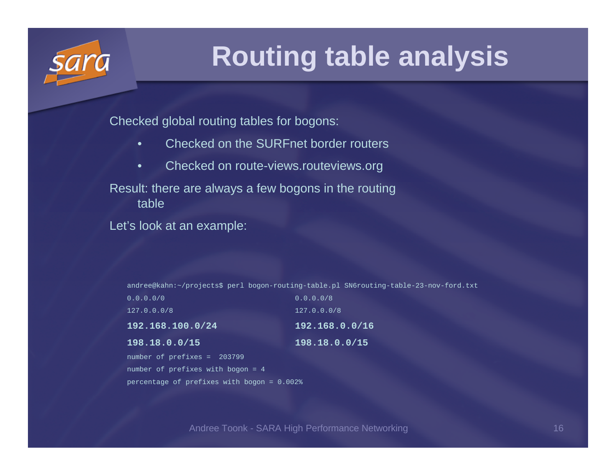

## **Routing table analysis**

Checked global routing tables for bogons:

- •Checked on the SURFnet border routers
- •Checked on route-views.routeviews.org

Result: there are always a few bogons in the routing table

Let's look at an example:

andree@kahn:~/projects\$ perl bogon-routing-table.pl SN6routing-table-23-nov-ford.txt

| 0.0.0.0/0                   | 0.0.0.0/8      |
|-----------------------------|----------------|
| 127.0.0.0/8                 | 127.0.0.0/8    |
| 192.168.100.0/24            | 192.168.0.0/16 |
| 198.18.0.0/15               | 198.18.0.0/15  |
| number of prefixes = 203799 |                |

number of prefixes with bogon = 4percentage of prefixes with bogon = 0.002%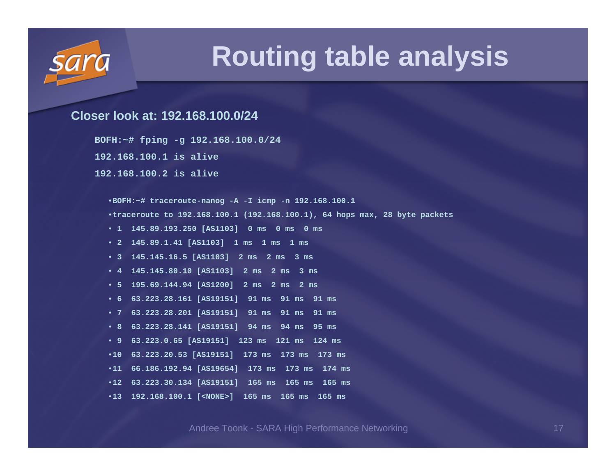

### **Routing table analysis**

#### **Closer look at: 192.168.100.0/24**

**BOFH:~# fping -g 192.168.100.0/24**

**192.168.100.1 is alive**

**192.168.100.2 is alive**

•**BOFH:~# traceroute-nanog -A -I icmp -n 192.168.100.1** •**traceroute to 192.168.100.1 (192.168.100.1), 64 hops max, 28 byte packets** • **1 145.89.193.250 [AS1103] 0 ms 0 ms 0 ms** • **2 145.89.1.41 [AS1103] 1 ms 1 ms 1 ms** • **3 145.145.16.5 [AS1103] 2 ms 2 ms 3 ms** • **4 145.145.80.10 [AS1103] 2 ms 2 ms 3 ms** • **5 195.69.144.94 [AS1200] 2 ms 2 ms 2 ms** • **6 63.223.28.161 [AS19151] 91 ms 91 ms 91 ms** • **7 63.223.28.201 [AS19151] 91 ms 91 ms 91 ms** • **8 63.223.28.141 [AS19151] 94 ms 94 ms 95 ms** • **9 63.223.0.65 [AS19151] 123 ms 121 ms 124 ms** •**10 63.223.20.53 [AS19151] 173 ms 173 ms 173 ms**•**11 66.186.192.94 [AS19654] 173 ms 173 ms 174 ms**•**12 63.223.30.134 [AS19151] 165 ms 165 ms 165 ms**•**13 192.168.100.1 [<NONE>] 165 ms 165 ms 165 ms**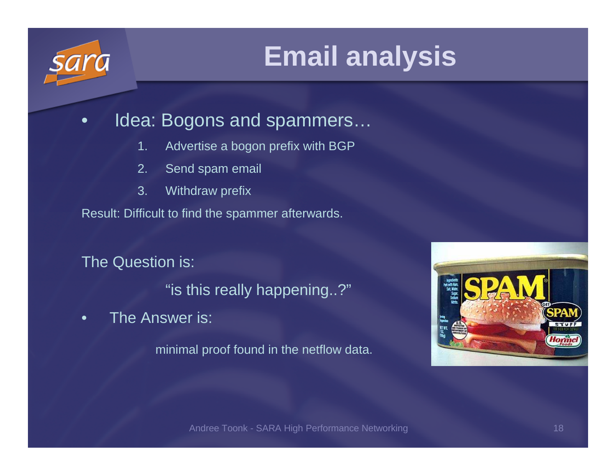#### $\bullet$ Idea: Bogons and spammers…

- 1. Advertise a bogon prefix with BGP
- 2. Send spam email
- 3. Withdraw prefix

Result: Difficult to find the spammer afterwards.

The Question is:

"is this really happening..?"

•The Answer is:

minimal proof found in the netflow data.

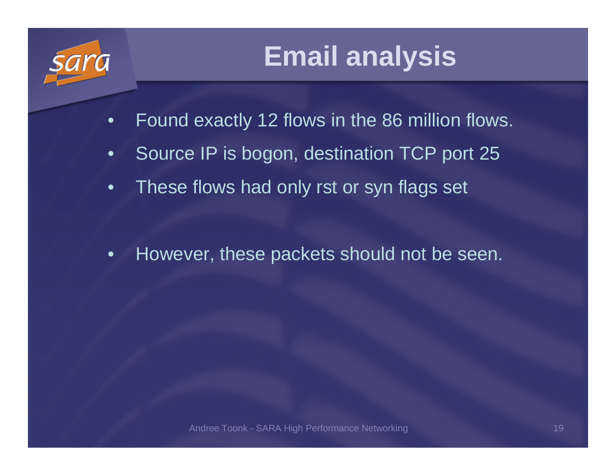

- •Found exactly 12 flows in the 86 million flows.
- •Source IP is bogon, destination TCP port 25
- •These flows had only rst or syn flags set
- •However, these packets should not be seen.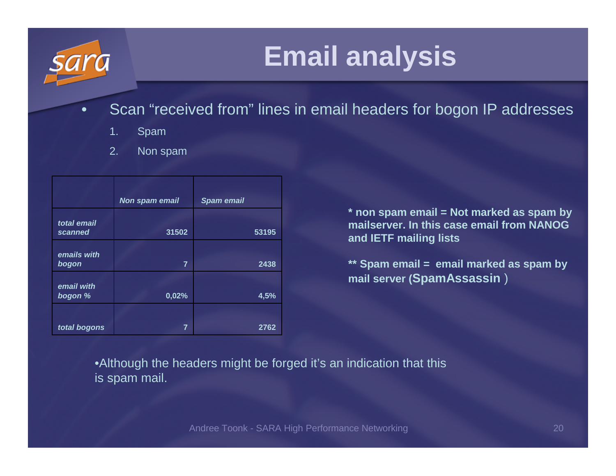- $\bullet$  Scan "received from" lines in email headers for bogon IP addresses
	- 1. Spam
	- 2. Non spam

|                        | Non spam email | <b>Spam email</b> |
|------------------------|----------------|-------------------|
| total email<br>scanned | 31502          | 53195             |
| emails with<br>bogon   | $\overline{7}$ | 2438              |
| email with<br>bogon %  | 0,02%          | 4,5%              |
| total bogons           | 7              | 2762              |

**\* non spam email = Not marked as spam by mailserver. In this case email from NANOG and IETF mailing lists**

**\*\* Spam email = email marked as spam by mail server (SpamAssassin** )

•Although the headers might be forged it's an indication that this is spam mail.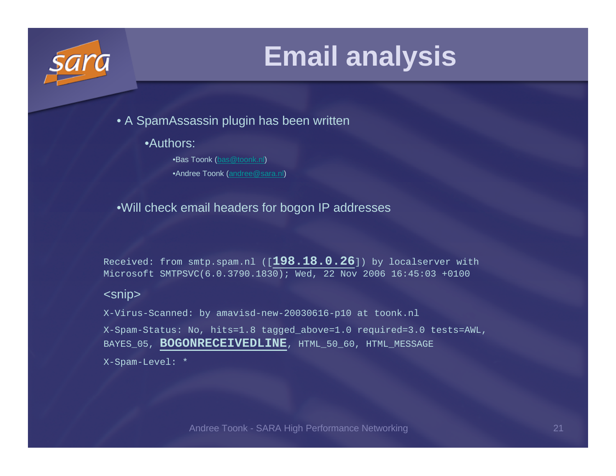

• A SpamAssassin plugin has been written

•Authors:

•Bas Toonk (bas@toonk.nl)•Andree Toonk (andree@sara.nl)

#### •Will check email headers for bogon IP addresses

Received: from smtp.spam.nl ([**198.18.0.26**]) by localserver with Microsoft SMTPSVC(6.0.3790.1830); Wed, 22 Nov 2006 16:45:03 +0100

#### <snip>

X-Virus-Scanned: by amavisd-new-20030616-p10 at toonk.nlX-Spam-Status: No, hits=1.8 tagged\_above=1.0 required=3.0 tests=AWL, BAYES\_05, **BOGONRECEIVEDLINE**, HTML\_50\_60, HTML\_MESSAGE X-Spam-Level: \*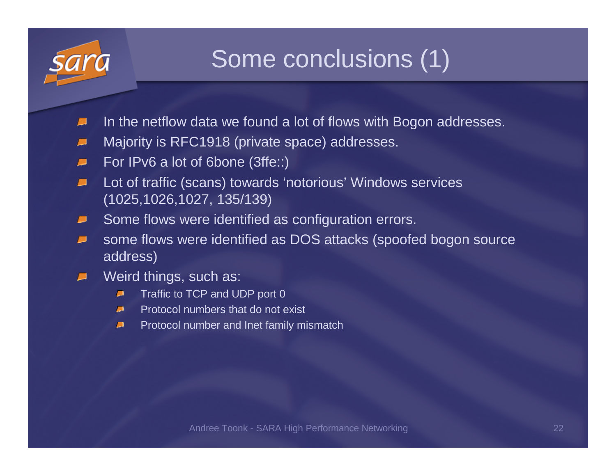

### Some conclusions (1)

- In the netflow data we found a lot of flows with Bogon addresses.
- Majority is RFC1918 (private space) addresses.■
- For IPv6 a lot of 6bone (3ffe::) $\sqrt{2}$
- Lot of traffic (scans) towards 'notorious' Windows services  $\sqrt{2}$ (1025,1026,1027, 135/139)
- Some flows were identified as configuration errors. $\blacksquare$
- some flows were identified as DOS attacks (spoofed bogon source  $\blacksquare$ address)
- Weird things, such as:Æ.
	- Traffic to TCP and UDP port 0₽
	- Protocol numbers that do not exist $\blacksquare$
	- Protocol number and Inet family mismatch $\blacksquare$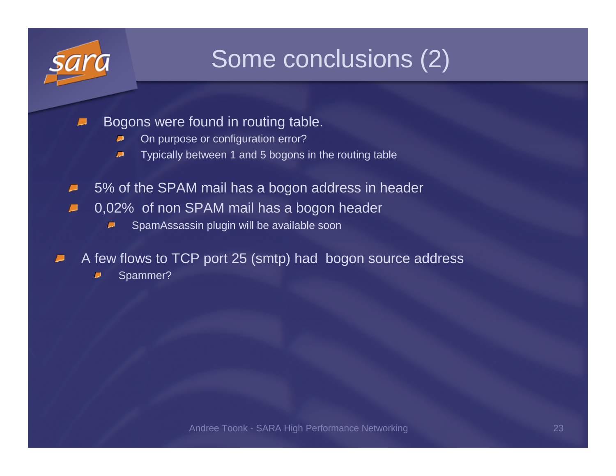

### Some conclusions (2)

- Bogons were found in routing table.
	- $\blacksquare$ On purpose or configuration error?
	- Typically between 1 and 5 bogons in the routing table $\blacksquare$
- 5% of the SPAM mail has a bogon address in header $\blacksquare$
- 0,02% of non SPAM mail has a bogon header $\blacksquare$ 
	- SpamAssassin plugin will be available soon $\blacksquare$
- A few flows to TCP port 25 (smtp) had bogon source address
	- Spammer?Ξ